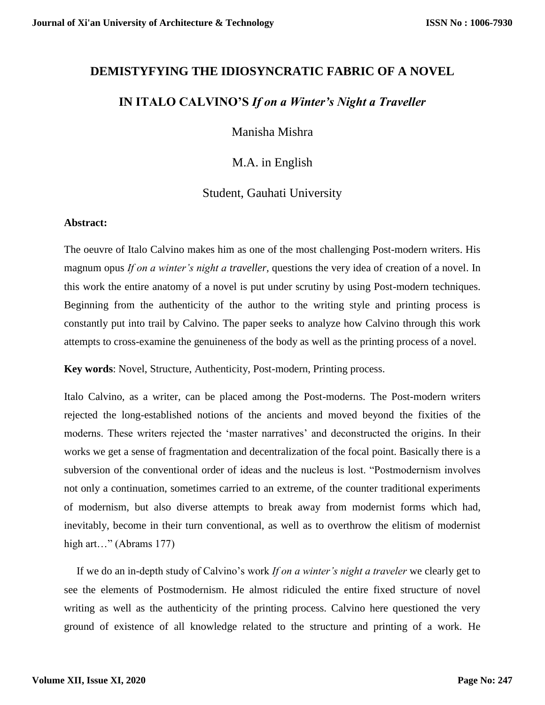#### **DEMISTYFYING THE IDIOSYNCRATIC FABRIC OF A NOVEL**

## **IN ITALO CALVINO'S** *If on a Winter's Night a Traveller*

Manisha Mishra

# M.A. in English

## Student, Gauhati University

#### **Abstract:**

The oeuvre of Italo Calvino makes him as one of the most challenging Post-modern writers. His magnum opus *If on a winter's night a traveller,* questions the very idea of creation of a novel. In this work the entire anatomy of a novel is put under scrutiny by using Post-modern techniques. Beginning from the authenticity of the author to the writing style and printing process is constantly put into trail by Calvino. The paper seeks to analyze how Calvino through this work attempts to cross-examine the genuineness of the body as well as the printing process of a novel.

**Key words**: Novel, Structure, Authenticity, Post-modern, Printing process.

Italo Calvino, as a writer, can be placed among the Post-moderns. The Post-modern writers rejected the long-established notions of the ancients and moved beyond the fixities of the moderns. These writers rejected the 'master narratives' and deconstructed the origins. In their works we get a sense of fragmentation and decentralization of the focal point. Basically there is a subversion of the conventional order of ideas and the nucleus is lost. "Postmodernism involves not only a continuation, sometimes carried to an extreme, of the counter traditional experiments of modernism, but also diverse attempts to break away from modernist forms which had, inevitably, become in their turn conventional, as well as to overthrow the elitism of modernist high art..." (Abrams 177)

If we do an in-depth study of Calvino's work *If on a winter's night a traveler* we clearly get to see the elements of Postmodernism. He almost ridiculed the entire fixed structure of novel writing as well as the authenticity of the printing process. Calvino here questioned the very ground of existence of all knowledge related to the structure and printing of a work. He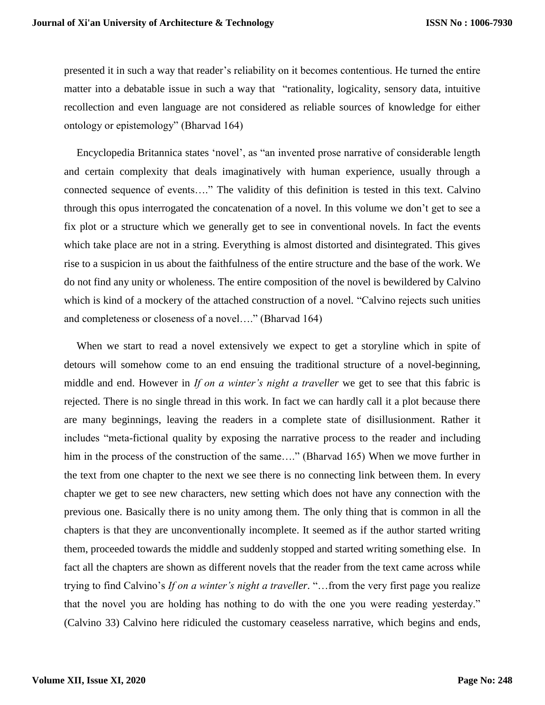presented it in such a way that reader's reliability on it becomes contentious. He turned the entire matter into a debatable issue in such a way that "rationality, logicality, sensory data, intuitive recollection and even language are not considered as reliable sources of knowledge for either ontology or epistemology" (Bharvad 164)

Encyclopedia Britannica states 'novel', as "an invented prose narrative of considerable length and certain complexity that deals imaginatively with human experience, usually through a connected sequence of events…." The validity of this definition is tested in this text. Calvino through this opus interrogated the concatenation of a novel. In this volume we don't get to see a fix plot or a structure which we generally get to see in conventional novels. In fact the events which take place are not in a string. Everything is almost distorted and disintegrated. This gives rise to a suspicion in us about the faithfulness of the entire structure and the base of the work. We do not find any unity or wholeness. The entire composition of the novel is bewildered by Calvino which is kind of a mockery of the attached construction of a novel. "Calvino rejects such unities and completeness or closeness of a novel…." (Bharvad 164)

When we start to read a novel extensively we expect to get a storyline which in spite of detours will somehow come to an end ensuing the traditional structure of a novel-beginning, middle and end. However in *If on a winter's night a traveller* we get to see that this fabric is rejected. There is no single thread in this work. In fact we can hardly call it a plot because there are many beginnings, leaving the readers in a complete state of disillusionment. Rather it includes "meta-fictional quality by exposing the narrative process to the reader and including him in the process of the construction of the same...." (Bharvad 165) When we move further in the text from one chapter to the next we see there is no connecting link between them. In every chapter we get to see new characters, new setting which does not have any connection with the previous one. Basically there is no unity among them. The only thing that is common in all the chapters is that they are unconventionally incomplete. It seemed as if the author started writing them, proceeded towards the middle and suddenly stopped and started writing something else. In fact all the chapters are shown as different novels that the reader from the text came across while trying to find Calvino's *If on a winter's night a traveller*. "…from the very first page you realize that the novel you are holding has nothing to do with the one you were reading yesterday." (Calvino 33) Calvino here ridiculed the customary ceaseless narrative, which begins and ends,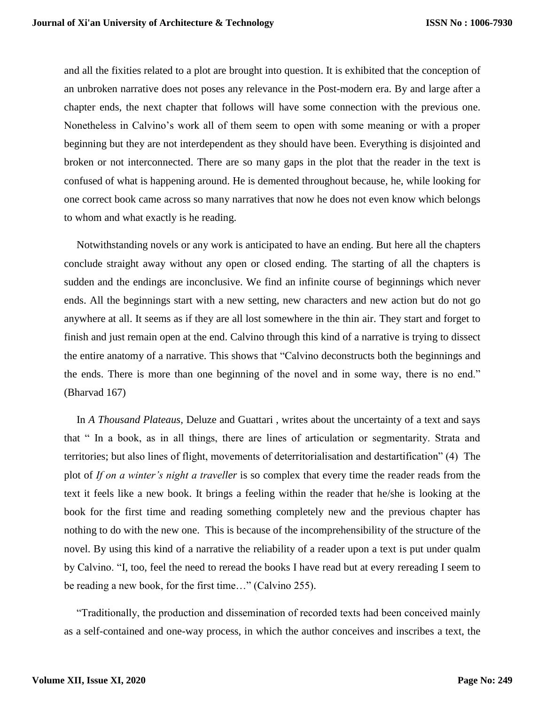and all the fixities related to a plot are brought into question. It is exhibited that the conception of an unbroken narrative does not poses any relevance in the Post-modern era. By and large after a chapter ends, the next chapter that follows will have some connection with the previous one. Nonetheless in Calvino's work all of them seem to open with some meaning or with a proper beginning but they are not interdependent as they should have been. Everything is disjointed and broken or not interconnected. There are so many gaps in the plot that the reader in the text is confused of what is happening around. He is demented throughout because, he, while looking for one correct book came across so many narratives that now he does not even know which belongs to whom and what exactly is he reading.

Notwithstanding novels or any work is anticipated to have an ending. But here all the chapters conclude straight away without any open or closed ending. The starting of all the chapters is sudden and the endings are inconclusive. We find an infinite course of beginnings which never ends. All the beginnings start with a new setting, new characters and new action but do not go anywhere at all. It seems as if they are all lost somewhere in the thin air. They start and forget to finish and just remain open at the end. Calvino through this kind of a narrative is trying to dissect the entire anatomy of a narrative. This shows that "Calvino deconstructs both the beginnings and the ends. There is more than one beginning of the novel and in some way, there is no end." (Bharvad 167)

In *A Thousand Plateaus,* Deluze and Guattari , writes about the uncertainty of a text and says that " In a book, as in all things, there are lines of articulation or segmentarity. Strata and territories; but also lines of flight, movements of deterritorialisation and destartification" (4) The plot of *If on a winter's night a traveller* is so complex that every time the reader reads from the text it feels like a new book. It brings a feeling within the reader that he/she is looking at the book for the first time and reading something completely new and the previous chapter has nothing to do with the new one. This is because of the incomprehensibility of the structure of the novel. By using this kind of a narrative the reliability of a reader upon a text is put under qualm by Calvino. "I, too, feel the need to reread the books I have read but at every rereading I seem to be reading a new book, for the first time…" (Calvino 255).

"Traditionally, the production and dissemination of recorded texts had been conceived mainly as a self-contained and one-way process, in which the author conceives and inscribes a text, the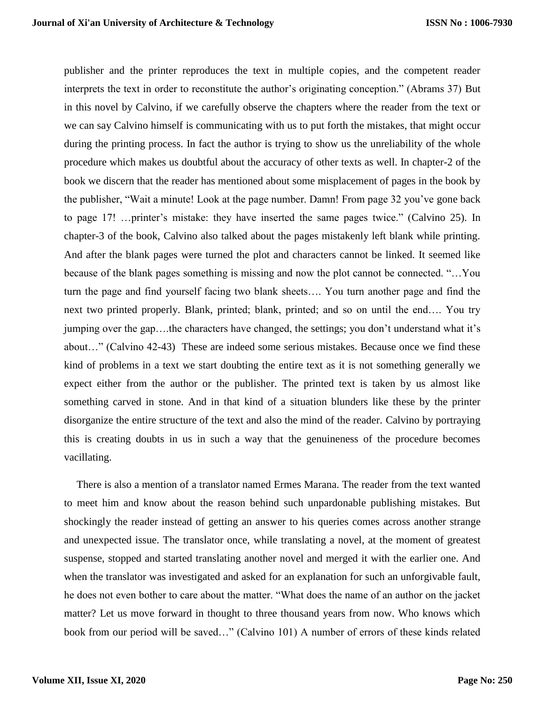publisher and the printer reproduces the text in multiple copies, and the competent reader interprets the text in order to reconstitute the author's originating conception." (Abrams 37) But in this novel by Calvino, if we carefully observe the chapters where the reader from the text or we can say Calvino himself is communicating with us to put forth the mistakes, that might occur during the printing process. In fact the author is trying to show us the unreliability of the whole procedure which makes us doubtful about the accuracy of other texts as well. In chapter-2 of the book we discern that the reader has mentioned about some misplacement of pages in the book by the publisher, "Wait a minute! Look at the page number. Damn! From page 32 you've gone back to page 17! …printer's mistake: they have inserted the same pages twice." (Calvino 25). In chapter-3 of the book, Calvino also talked about the pages mistakenly left blank while printing. And after the blank pages were turned the plot and characters cannot be linked. It seemed like because of the blank pages something is missing and now the plot cannot be connected. "…You turn the page and find yourself facing two blank sheets…. You turn another page and find the next two printed properly. Blank, printed; blank, printed; and so on until the end…. You try jumping over the gap….the characters have changed, the settings; you don't understand what it's about…" (Calvino 42-43) These are indeed some serious mistakes. Because once we find these kind of problems in a text we start doubting the entire text as it is not something generally we expect either from the author or the publisher. The printed text is taken by us almost like something carved in stone. And in that kind of a situation blunders like these by the printer disorganize the entire structure of the text and also the mind of the reader. Calvino by portraying this is creating doubts in us in such a way that the genuineness of the procedure becomes vacillating.

There is also a mention of a translator named Ermes Marana. The reader from the text wanted to meet him and know about the reason behind such unpardonable publishing mistakes. But shockingly the reader instead of getting an answer to his queries comes across another strange and unexpected issue. The translator once, while translating a novel, at the moment of greatest suspense, stopped and started translating another novel and merged it with the earlier one. And when the translator was investigated and asked for an explanation for such an unforgivable fault, he does not even bother to care about the matter. "What does the name of an author on the jacket matter? Let us move forward in thought to three thousand years from now. Who knows which book from our period will be saved…" (Calvino 101) A number of errors of these kinds related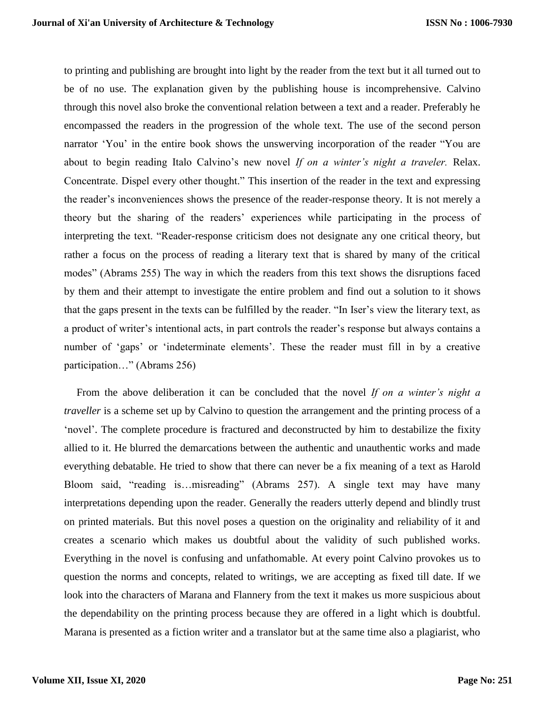to printing and publishing are brought into light by the reader from the text but it all turned out to be of no use. The explanation given by the publishing house is incomprehensive. Calvino through this novel also broke the conventional relation between a text and a reader. Preferably he encompassed the readers in the progression of the whole text. The use of the second person narrator 'You' in the entire book shows the unswerving incorporation of the reader "You are about to begin reading Italo Calvino's new novel *If on a winter's night a traveler.* Relax. Concentrate. Dispel every other thought." This insertion of the reader in the text and expressing the reader's inconveniences shows the presence of the reader-response theory. It is not merely a theory but the sharing of the readers' experiences while participating in the process of interpreting the text. "Reader-response criticism does not designate any one critical theory, but rather a focus on the process of reading a literary text that is shared by many of the critical modes" (Abrams 255) The way in which the readers from this text shows the disruptions faced by them and their attempt to investigate the entire problem and find out a solution to it shows that the gaps present in the texts can be fulfilled by the reader. "In Iser's view the literary text, as a product of writer's intentional acts, in part controls the reader's response but always contains a number of 'gaps' or 'indeterminate elements'. These the reader must fill in by a creative participation…" (Abrams 256)

From the above deliberation it can be concluded that the novel *If on a winter's night a traveller* is a scheme set up by Calvino to question the arrangement and the printing process of a 'novel'. The complete procedure is fractured and deconstructed by him to destabilize the fixity allied to it. He blurred the demarcations between the authentic and unauthentic works and made everything debatable. He tried to show that there can never be a fix meaning of a text as Harold Bloom said, "reading is…misreading" (Abrams 257). A single text may have many interpretations depending upon the reader. Generally the readers utterly depend and blindly trust on printed materials. But this novel poses a question on the originality and reliability of it and creates a scenario which makes us doubtful about the validity of such published works. Everything in the novel is confusing and unfathomable. At every point Calvino provokes us to question the norms and concepts, related to writings, we are accepting as fixed till date. If we look into the characters of Marana and Flannery from the text it makes us more suspicious about the dependability on the printing process because they are offered in a light which is doubtful. Marana is presented as a fiction writer and a translator but at the same time also a plagiarist, who